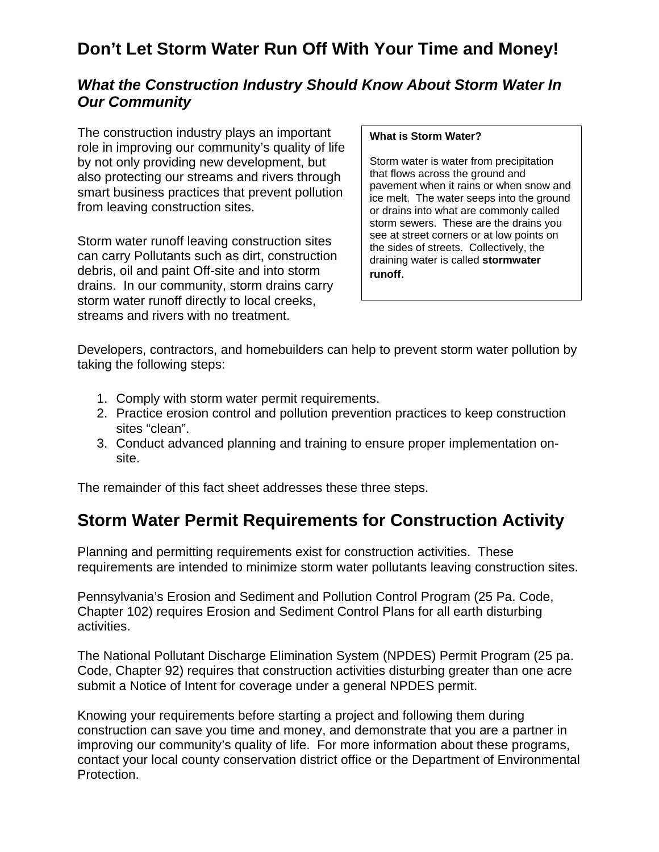### **Don't Let Storm Water Run Off With Your Time and Money!**

#### *What the Construction Industry Should Know About Storm Water In Our Community*

The construction industry plays an important role in improving our community's quality of life by not only providing new development, but also protecting our streams and rivers through smart business practices that prevent pollution from leaving construction sites.

Storm water runoff leaving construction sites can carry Pollutants such as dirt, construction debris, oil and paint Off-site and into storm drains. In our community, storm drains carry storm water runoff directly to local creeks, streams and rivers with no treatment.

#### **What is Storm Water?**

Storm water is water from precipitation that flows across the ground and pavement when it rains or when snow and ice melt. The water seeps into the ground or drains into what are commonly called storm sewers. These are the drains you see at street corners or at low points on the sides of streets. Collectively, the draining water is called **stormwater runoff**.

Developers, contractors, and homebuilders can help to prevent storm water pollution by taking the following steps:

- 1. Comply with storm water permit requirements.
- 2. Practice erosion control and pollution prevention practices to keep construction sites "clean".
- 3. Conduct advanced planning and training to ensure proper implementation onsite.

The remainder of this fact sheet addresses these three steps.

#### **Storm Water Permit Requirements for Construction Activity**

Planning and permitting requirements exist for construction activities. These requirements are intended to minimize storm water pollutants leaving construction sites.

Pennsylvania's Erosion and Sediment and Pollution Control Program (25 Pa. Code, Chapter 102) requires Erosion and Sediment Control Plans for all earth disturbing activities.

The National Pollutant Discharge Elimination System (NPDES) Permit Program (25 pa. Code, Chapter 92) requires that construction activities disturbing greater than one acre submit a Notice of Intent for coverage under a general NPDES permit.

Knowing your requirements before starting a project and following them during construction can save you time and money, and demonstrate that you are a partner in improving our community's quality of life. For more information about these programs, contact your local county conservation district office or the Department of Environmental Protection.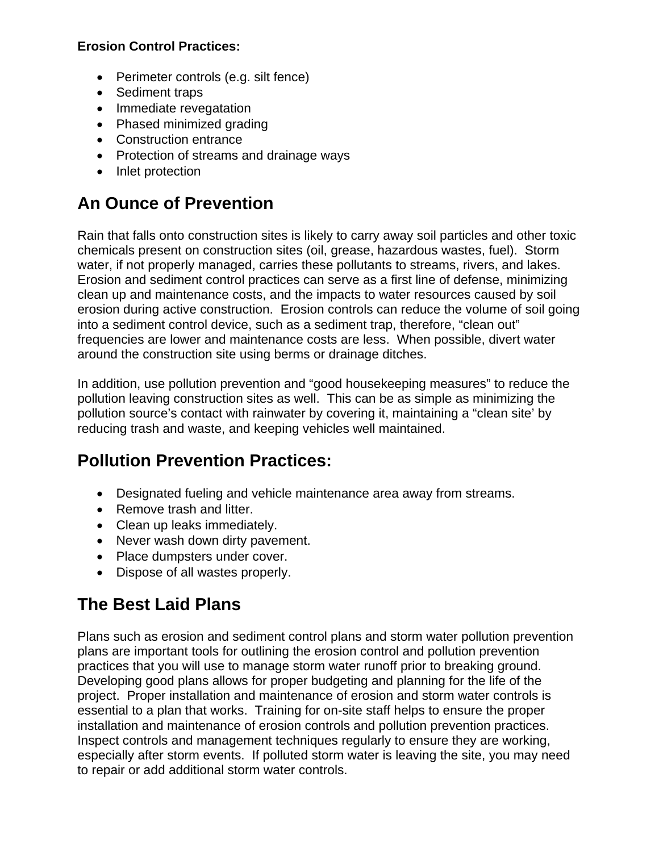#### **Erosion Control Practices:**

- Perimeter controls (e.g. silt fence)
- Sediment traps
- Immediate revegatation
- Phased minimized grading
- Construction entrance
- Protection of streams and drainage ways
- Inlet protection

# **An Ounce of Prevention**

Rain that falls onto construction sites is likely to carry away soil particles and other toxic chemicals present on construction sites (oil, grease, hazardous wastes, fuel). Storm water, if not properly managed, carries these pollutants to streams, rivers, and lakes. Erosion and sediment control practices can serve as a first line of defense, minimizing clean up and maintenance costs, and the impacts to water resources caused by soil erosion during active construction. Erosion controls can reduce the volume of soil going into a sediment control device, such as a sediment trap, therefore, "clean out" frequencies are lower and maintenance costs are less. When possible, divert water around the construction site using berms or drainage ditches.

In addition, use pollution prevention and "good housekeeping measures" to reduce the pollution leaving construction sites as well. This can be as simple as minimizing the pollution source's contact with rainwater by covering it, maintaining a "clean site' by reducing trash and waste, and keeping vehicles well maintained.

# **Pollution Prevention Practices:**

- Designated fueling and vehicle maintenance area away from streams.
- Remove trash and litter.
- Clean up leaks immediately.
- Never wash down dirty pavement.
- Place dumpsters under cover.
- Dispose of all wastes properly.

# **The Best Laid Plans**

Plans such as erosion and sediment control plans and storm water pollution prevention plans are important tools for outlining the erosion control and pollution prevention practices that you will use to manage storm water runoff prior to breaking ground. Developing good plans allows for proper budgeting and planning for the life of the project. Proper installation and maintenance of erosion and storm water controls is essential to a plan that works. Training for on-site staff helps to ensure the proper installation and maintenance of erosion controls and pollution prevention practices. Inspect controls and management techniques regularly to ensure they are working, especially after storm events. If polluted storm water is leaving the site, you may need to repair or add additional storm water controls.